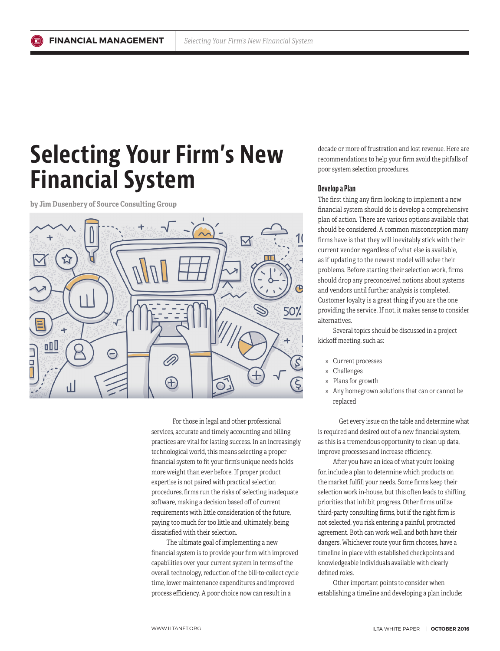# **Selecting Your Firm's New Financial System**

**by Jim Dusenbery of Source Consulting Group**



For those in legal and other professional services, accurate and timely accounting and billing practices are vital for lasting success. In an increasingly technological world, this means selecting a proper financial system to fit your firm's unique needs holds more weight than ever before. If proper product expertise is not paired with practical selection procedures, firms run the risks of selecting inadequate software, making a decision based off of current requirements with little consideration of the future, paying too much for too little and, ultimately, being dissatisfied with their selection.

The ultimate goal of implementing a new financial system is to provide your firm with improved capabilities over your current system in terms of the overall technology, reduction of the bill-to-collect cycle time, lower maintenance expenditures and improved process efficiency. A poor choice now can result in a

decade or more of frustration and lost revenue. Here are recommendations to help your firm avoid the pitfalls of poor system selection procedures.

#### **Develop a Plan**

The first thing any firm looking to implement a new financial system should do is develop a comprehensive plan of action. There are various options available that should be considered. A common misconception many firms have is that they will inevitably stick with their current vendor regardless of what else is available, as if updating to the newest model will solve their problems. Before starting their selection work, firms should drop any preconceived notions about systems and vendors until further analysis is completed. Customer loyalty is a great thing if you are the one providing the service. If not, it makes sense to consider alternatives.

Several topics should be discussed in a project kickoff meeting, such as:

- » Current processes
- » Challenges
- » Plans for growth
- » Any homegrown solutions that can or cannot be replaced

Get every issue on the table and determine what is required and desired out of a new financial system, as this is a tremendous opportunity to clean up data, improve processes and increase efficiency.

After you have an idea of what you're looking for, include a plan to determine which products on the market fulfill your needs. Some firms keep their selection work in-house, but this often leads to shifting priorities that inhibit progress. Other firms utilize third-party consulting firms, but if the right firm is not selected, you risk entering a painful, protracted agreement. Both can work well, and both have their dangers. Whichever route your firm chooses, have a timeline in place with established checkpoints and knowledgeable individuals available with clearly defined roles.

Other important points to consider when establishing a timeline and developing a plan include: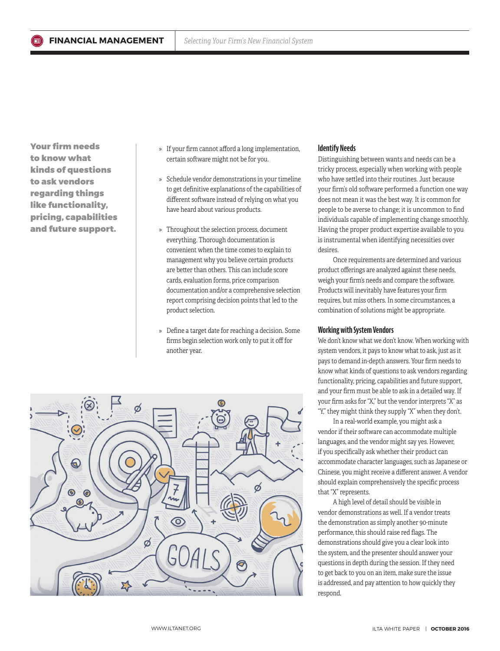Your firm needs to know what kinds of questions to ask vendors regarding things like functionality, pricing, capabilities and future support.

- » If your firm cannot afford a long implementation, certain software might not be for you.
- » Schedule vendor demonstrations in your timeline to get definitive explanations of the capabilities of different software instead of relying on what you have heard about various products.
- » Throughout the selection process, document everything. Thorough documentation is convenient when the time comes to explain to management why you believe certain products are better than others. This can include score cards, evaluation forms, price comparison documentation and/or a comprehensive selection report comprising decision points that led to the product selection.
- » Define a target date for reaching a decision. Some firms begin selection work only to put it off for another year.



# **Identify Needs**

Distinguishing between wants and needs can be a tricky process, especially when working with people who have settled into their routines. Just because your firm's old software performed a function one way does not mean it was the best way. It is common for people to be averse to change; it is uncommon to find individuals capable of implementing change smoothly. Having the proper product expertise available to you is instrumental when identifying necessities over desires.

Once requirements are determined and various product offerings are analyzed against these needs, weigh your firm's needs and compare the software. Products will inevitably have features your firm requires, but miss others. In some circumstances, a combination of solutions might be appropriate.

## **Working with System Vendors**

We don't know what we don't know. When working with system vendors, it pays to know what to ask, just as it pays to demand in-depth answers. Your firm needs to know what kinds of questions to ask vendors regarding functionality, pricing, capabilities and future support, and your firm must be able to ask in a detailed way. If your firm asks for "X," but the vendor interprets "X" as "Y," they might think they supply "X" when they don't.

In a real-world example, you might ask a vendor if their software can accommodate multiple languages, and the vendor might say yes. However, if you specifically ask whether their product can accommodate character languages, such as Japanese or Chinese, you might receive a different answer. A vendor should explain comprehensively the specific process that "X" represents.

A high level of detail should be visible in vendor demonstrations as well. If a vendor treats the demonstration as simply another 90-minute performance, this should raise red flags. The demonstrations should give you a clear look into the system, and the presenter should answer your questions in depth during the session. If they need to get back to you on an item, make sure the issue is addressed, and pay attention to how quickly they respond.